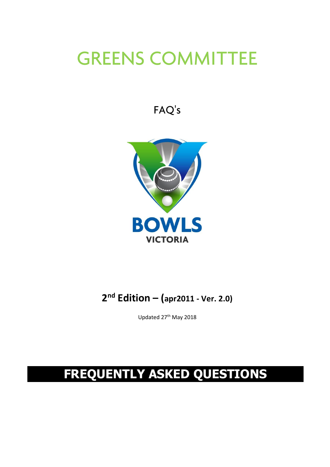# **GREENS COMMITTEE**

FAQ's



### **2 nd Edition – (apr2011 ‐ Ver. 2.0)**

Updated 27<sup>th</sup> May 2018

# **FREQUENTLY ASKED QUESTIONS**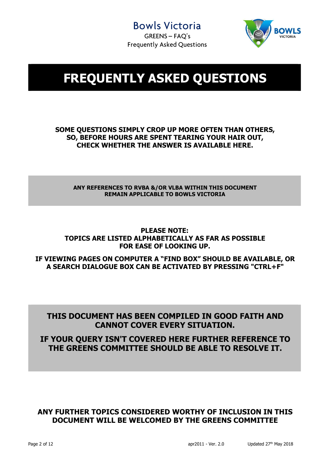

## **FREQUENTLY ASKED QUESTIONS**

#### **SOME QUESTIONS SIMPLY CROP UP MORE OFTEN THAN OTHERS, SO, BEFORE HOURS ARE SPENT TEARING YOUR HAIR OUT, CHECK WHETHER THE ANSWER IS AVAILABLE HERE.**

#### **ANY REFERENCES TO RVBA &/OR VLBA WITHIN THIS DOCUMENT REMAIN APPLICABLE TO BOWLS VICTORIA**

#### **PLEASE NOTE: TOPICS ARE LISTED ALPHABETICALLY AS FAR AS POSSIBLE FOR EASE OF LOOKING UP.**

**IF VIEWING PAGES ON COMPUTER A "FIND BOX" SHOULD BE AVAILABLE, OR A SEARCH DIALOGUE BOX CAN BE ACTIVATED BY PRESSING "CTRL+F"** 

#### **THIS DOCUMENT HAS BEEN COMPILED IN GOOD FAITH AND CANNOT COVER EVERY SITUATION.**

#### **IF YOUR QUERY ISN'T COVERED HERE FURTHER REFERENCE TO THE GREENS COMMITTEE SHOULD BE ABLE TO RESOLVE IT.**

#### **ANY FURTHER TOPICS CONSIDERED WORTHY OF INCLUSION IN THIS DOCUMENT WILL BE WELCOMED BY THE GREENS COMMITTEE**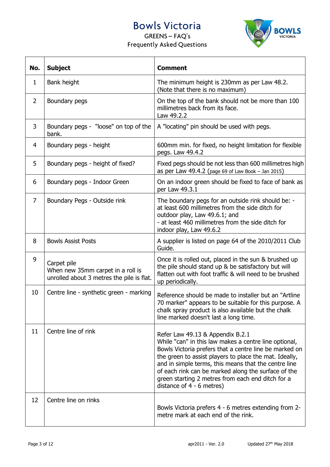



| No.            | <b>Subject</b>                                                                                | <b>Comment</b>                                                                                                                                                                                                                                                                                                                                                                                                 |  |
|----------------|-----------------------------------------------------------------------------------------------|----------------------------------------------------------------------------------------------------------------------------------------------------------------------------------------------------------------------------------------------------------------------------------------------------------------------------------------------------------------------------------------------------------------|--|
| 1              | Bank height                                                                                   | The minimum height is 230mm as per Law 48.2.<br>(Note that there is no maximum)                                                                                                                                                                                                                                                                                                                                |  |
| $\overline{2}$ | Boundary pegs                                                                                 | On the top of the bank should not be more than 100<br>millimetres back from its face.<br>Law 49.2.2                                                                                                                                                                                                                                                                                                            |  |
| 3              | Boundary pegs - "loose" on top of the<br>bank.                                                | A "locating" pin should be used with pegs.                                                                                                                                                                                                                                                                                                                                                                     |  |
| $\overline{4}$ | Boundary pegs - height                                                                        | 600mm min. for fixed, no height limitation for flexible<br>pegs. Law 49.4.2                                                                                                                                                                                                                                                                                                                                    |  |
| 5              | Boundary pegs - height of fixed?                                                              | Fixed pegs should be not less than 600 millimetres high<br>as per Law 49.4.2 (page 69 of Law Book - Jan 2015)                                                                                                                                                                                                                                                                                                  |  |
| 6              | Boundary pegs - Indoor Green                                                                  | On an indoor green should be fixed to face of bank as<br>per Law 49.3.1                                                                                                                                                                                                                                                                                                                                        |  |
| $\overline{7}$ | Boundary Pegs - Outside rink                                                                  | The boundary pegs for an outside rink should be: -<br>at least 600 millimetres from the side ditch for<br>outdoor play, Law 49.6.1; and<br>- at least 460 millimetres from the side ditch for<br>indoor play, Law 49.6.2                                                                                                                                                                                       |  |
| 8              | <b>Bowls Assist Posts</b>                                                                     | A supplier is listed on page 64 of the 2010/2011 Club<br>Guide.                                                                                                                                                                                                                                                                                                                                                |  |
| 9              | Carpet pile<br>When new 35mm carpet in a roll is<br>unrolled about 3 metres the pile is flat. | Once it is rolled out, placed in the sun & brushed up<br>the pile should stand up & be satisfactory but will<br>flatten out with foot traffic & will need to be brushed<br>up periodically.                                                                                                                                                                                                                    |  |
| 10             | Centre line - synthetic green - marking                                                       | Reference should be made to installer but an "Artline"<br>70 marker" appears to be suitable for this purpose. A<br>chalk spray product is also available but the chalk<br>line marked doesn't last a long time.                                                                                                                                                                                                |  |
| 11             | Centre line of rink                                                                           | Refer Law 49.13 & Appendix B.2.1<br>While "can" in this law makes a centre line optional,<br>Bowls Victoria prefers that a centre line be marked on<br>the green to assist players to place the mat. Ideally,<br>and in simple terms, this means that the centre line<br>of each rink can be marked along the surface of the<br>green starting 2 metres from each end ditch for a<br>distance of 4 - 6 metres) |  |
| 12             | Centre line on rinks                                                                          | Bowls Victoria prefers 4 - 6 metres extending from 2-<br>metre mark at each end of the rink.                                                                                                                                                                                                                                                                                                                   |  |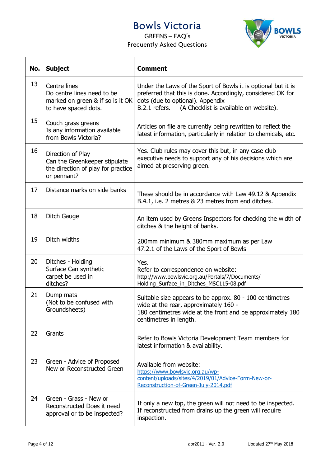

| No. | <b>Subject</b>                                                                                          | <b>Comment</b>                                                                                                                                                                                                              |
|-----|---------------------------------------------------------------------------------------------------------|-----------------------------------------------------------------------------------------------------------------------------------------------------------------------------------------------------------------------------|
| 13  | Centre lines<br>Do centre lines need to be<br>marked on green & if so is it OK<br>to have spaced dots.  | Under the Laws of the Sport of Bowls it is optional but it is<br>preferred that this is done. Accordingly, considered OK for<br>dots (due to optional). Appendix<br>B.2.1 refers.<br>(A Checklist is available on website). |
| 15  | Couch grass greens<br>Is any information available<br>from Bowls Victoria?                              | Articles on file are currently being rewritten to reflect the<br>latest information, particularly in relation to chemicals, etc.                                                                                            |
| 16  | Direction of Play<br>Can the Greenkeeper stipulate<br>the direction of play for practice<br>or pennant? | Yes. Club rules may cover this but, in any case club<br>executive needs to support any of his decisions which are<br>aimed at preserving green.                                                                             |
| 17  | Distance marks on side banks                                                                            | These should be in accordance with Law 49.12 & Appendix<br>B.4.1, i.e. 2 metres & 23 metres from end ditches.                                                                                                               |
| 18  | Ditch Gauge                                                                                             | An item used by Greens Inspectors for checking the width of<br>ditches & the height of banks.                                                                                                                               |
| 19  | Ditch widths                                                                                            | 200mm minimum & 380mm maximum as per Law<br>47.2.1 of the Laws of the Sport of Bowls                                                                                                                                        |
| 20  | Ditches - Holding<br>Surface Can synthetic<br>carpet be used in<br>ditches?                             | Yes.<br>Refer to correspondence on website:<br>http://www.bowlsvic.org.au/Portals/7/Documents/<br>Holding_Surface_in_Ditches_MSC115-08.pdf                                                                                  |
| 21  | Dump mats<br>(Not to be confused with<br>Groundsheets)                                                  | Suitable size appears to be approx. 80 - 100 centimetres<br>wide at the rear, approximately 160 -<br>180 centimetres wide at the front and be approximately 180<br>centimetres in length.                                   |
| 22  | Grants                                                                                                  | Refer to Bowls Victoria Development Team members for<br>latest information & availability.                                                                                                                                  |
| 23  | Green - Advice of Proposed<br>New or Reconstructed Green                                                | Available from website:<br>https://www.bowlsvic.org.au/wp-<br>content/uploads/sites/4/2019/01/Advice-Form-New-or-<br>Reconstruction-of-Green-July-2014.pdf                                                                  |
| 24  | Green - Grass - New or<br>Reconstructed Does it need<br>approval or to be inspected?                    | If only a new top, the green will not need to be inspected.<br>If reconstructed from drains up the green will require<br>inspection.                                                                                        |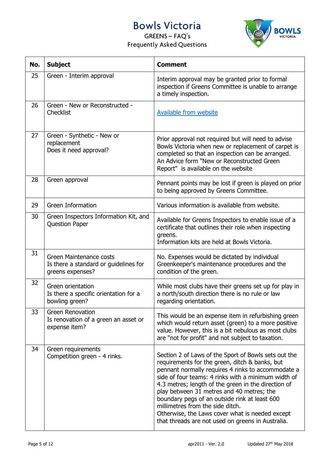

| No. | <b>Subject</b>                                                                       | <b>Comment</b>                                                                                                                                                                                                                                                                                                                                                                                                                                                                                                       |  |
|-----|--------------------------------------------------------------------------------------|----------------------------------------------------------------------------------------------------------------------------------------------------------------------------------------------------------------------------------------------------------------------------------------------------------------------------------------------------------------------------------------------------------------------------------------------------------------------------------------------------------------------|--|
| 25  | Green - Interim approval                                                             | Interim approval may be granted prior to formal<br>inspection if Greens Committee is unable to arrange<br>a timely inspection.                                                                                                                                                                                                                                                                                                                                                                                       |  |
| 26  | Green - New or Reconstructed -<br><b>Checklist</b>                                   | Available from website                                                                                                                                                                                                                                                                                                                                                                                                                                                                                               |  |
| 27  | Green - Synthetic - New or<br>replacement<br>Does it need approval?                  | Prior approval not required but will need to advise<br>Bowls Victoria when new or replacement of carpet is<br>completed so that an inspection can be arranged.<br>An Advice form "New or Reconstructed Green<br>Report" is available on the website                                                                                                                                                                                                                                                                  |  |
| 28  | Green approval                                                                       | Pennant points may be lost if green is played on prior<br>to being approved by Greens Committee.                                                                                                                                                                                                                                                                                                                                                                                                                     |  |
| 29  | <b>Green Information</b>                                                             | Various information is available from website.                                                                                                                                                                                                                                                                                                                                                                                                                                                                       |  |
| 30  | Green Inspectors Information Kit, and<br><b>Question Paper</b>                       | Available for Greens Inspectors to enable issue of a<br>certificate that outlines their role when inspecting<br>greens.<br>Information kits are held at Bowls Victoria.                                                                                                                                                                                                                                                                                                                                              |  |
| 31  | Green Maintenance costs<br>Is there a standard or guidelines for<br>greens expenses? | No. Expenses would be dictated by individual<br>Greenkeeper's maintenance procedures and the<br>condition of the green.                                                                                                                                                                                                                                                                                                                                                                                              |  |
| 32  | Green orientation<br>Is there a specific orientation for a<br>bowling green?         | While most clubs have their greens set up for play in<br>a north/south direction there is no rule or law<br>regarding orientation.                                                                                                                                                                                                                                                                                                                                                                                   |  |
| 33  | <b>Green Renovation</b><br>Is renovation of a green an asset or<br>expense item?     | This would be an expense item in refurbishing green<br>which would return asset (green) to a more positive<br>value. However, this is a bit nebulous as most clubs<br>are "not for profit" and not subject to taxation.                                                                                                                                                                                                                                                                                              |  |
| 34  | Green requirements<br>Competition green - 4 rinks.                                   | Section 2 of Laws of the Sport of Bowls sets out the<br>requirements for the green, ditch & banks, but<br>pennant normally requires 4 rinks to accommodate a<br>side of four teams: 4 rinks with a minimum width of<br>4.3 metres; length of the green in the direction of<br>play between 31 metres and 40 metres; the<br>boundary pegs of an outside rink at least 600<br>millimetres from the side ditch.<br>Otherwise, the Laws cover what is needed except<br>that threads are not used on greens in Australia. |  |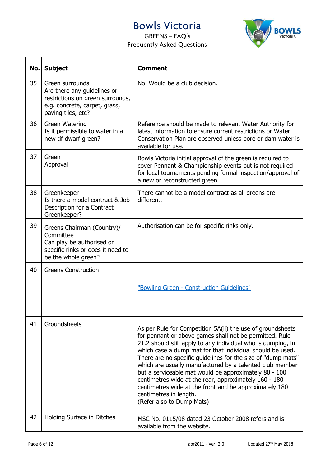

| No. | <b>Subject</b>                                                                                                                            | <b>Comment</b>                                                                                                                                                                                                                                                                                                                                                                                                                                                                                                                                                                                                    |
|-----|-------------------------------------------------------------------------------------------------------------------------------------------|-------------------------------------------------------------------------------------------------------------------------------------------------------------------------------------------------------------------------------------------------------------------------------------------------------------------------------------------------------------------------------------------------------------------------------------------------------------------------------------------------------------------------------------------------------------------------------------------------------------------|
| 35  | Green surrounds<br>Are there any guidelines or<br>restrictions on green surrounds,<br>e.g. concrete, carpet, grass,<br>paving tiles, etc? | No. Would be a club decision.                                                                                                                                                                                                                                                                                                                                                                                                                                                                                                                                                                                     |
| 36  | <b>Green Watering</b><br>Is it permissible to water in a<br>new tif dwarf green?                                                          | Reference should be made to relevant Water Authority for<br>latest information to ensure current restrictions or Water<br>Conservation Plan are observed unless bore or dam water is<br>available for use.                                                                                                                                                                                                                                                                                                                                                                                                        |
| 37  | Green<br>Approval                                                                                                                         | Bowls Victoria initial approval of the green is required to<br>cover Pennant & Championship events but is not required<br>for local tournaments pending formal inspection/approval of<br>a new or reconstructed green.                                                                                                                                                                                                                                                                                                                                                                                            |
| 38  | Greenkeeper<br>Is there a model contract & Job<br>Description for a Contract<br>Greenkeeper?                                              | There cannot be a model contract as all greens are<br>different.                                                                                                                                                                                                                                                                                                                                                                                                                                                                                                                                                  |
| 39  | Greens Chairman (Country)/<br>Committee<br>Can play be authorised on<br>specific rinks or does it need to<br>be the whole green?          | Authorisation can be for specific rinks only.                                                                                                                                                                                                                                                                                                                                                                                                                                                                                                                                                                     |
| 40  | <b>Greens Construction</b>                                                                                                                | "Bowling Green - Construction Guidelines"                                                                                                                                                                                                                                                                                                                                                                                                                                                                                                                                                                         |
| 41  | Groundsheets                                                                                                                              | As per Rule for Competition 5A(ii) the use of groundsheets<br>for pennant or above games shall not be permitted. Rule<br>21.2 should still apply to any individual who is dumping, in<br>which case a dump mat for that individual should be used.<br>There are no specific guidelines for the size of "dump mats"<br>which are usually manufactured by a talented club member<br>but a serviceable mat would be approximately 80 - 100<br>centimetres wide at the rear, approximately 160 - 180<br>centimetres wide at the front and be approximately 180<br>centimetres in length.<br>(Refer also to Dump Mats) |
| 42  | Holding Surface in Ditches                                                                                                                | MSC No. 0115/08 dated 23 October 2008 refers and is<br>available from the website.                                                                                                                                                                                                                                                                                                                                                                                                                                                                                                                                |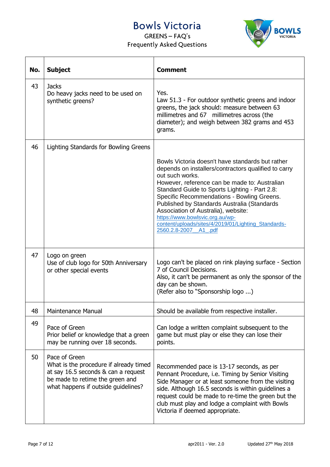



| No. | <b>Subject</b>                                                                                                                                                           | <b>Comment</b>                                                                                                                                                                                                                                                                                                                                                                                                                                                                       |
|-----|--------------------------------------------------------------------------------------------------------------------------------------------------------------------------|--------------------------------------------------------------------------------------------------------------------------------------------------------------------------------------------------------------------------------------------------------------------------------------------------------------------------------------------------------------------------------------------------------------------------------------------------------------------------------------|
| 43  | <b>Jacks</b><br>Do heavy jacks need to be used on<br>synthetic greens?                                                                                                   | Yes.<br>Law 51.3 - For outdoor synthetic greens and indoor<br>greens, the jack should: measure between 63<br>millimetres and 67 millimetres across (the<br>diameter); and weigh between 382 grams and 453<br>grams.                                                                                                                                                                                                                                                                  |
| 46  | Lighting Standards for Bowling Greens                                                                                                                                    | Bowls Victoria doesn't have standards but rather<br>depends on installers/contractors qualified to carry<br>out such works.<br>However, reference can be made to: Australian<br>Standard Guide to Sports Lighting - Part 2.8:<br>Specific Recommendations - Bowling Greens.<br>Published by Standards Australia (Standards<br>Association of Australia), website:<br>https://www.bowlsvic.org.au/wp-<br>content/uploads/sites/4/2019/01/Lighting_Standards-<br>2560.2.8-2007 A1 .pdf |
| 47  | Logo on green<br>Use of club logo for 50th Anniversary<br>or other special events                                                                                        | Logo can't be placed on rink playing surface - Section<br>7 of Council Decisions.<br>Also, it can't be permanent as only the sponsor of the<br>day can be shown.<br>(Refer also to "Sponsorship logo )                                                                                                                                                                                                                                                                               |
| 48  | <b>Maintenance Manual</b>                                                                                                                                                | Should be available from respective installer.                                                                                                                                                                                                                                                                                                                                                                                                                                       |
| 49  | Pace of Green<br>Prior belief or knowledge that a green<br>may be running over 18 seconds.                                                                               | Can lodge a written complaint subsequent to the<br>game but must play or else they can lose their<br>points.                                                                                                                                                                                                                                                                                                                                                                         |
| 50  | Pace of Green<br>What is the procedure if already timed<br>at say 16.5 seconds & can a request<br>be made to retime the green and<br>what happens if outside guidelines? | Recommended pace is 13-17 seconds, as per<br>Pennant Procedure, i.e. Timing by Senior Visiting<br>Side Manager or at least someone from the visiting<br>side. Although 16.5 seconds is within guidelines a<br>request could be made to re-time the green but the<br>club must play and lodge a complaint with Bowls<br>Victoria if deemed appropriate.                                                                                                                               |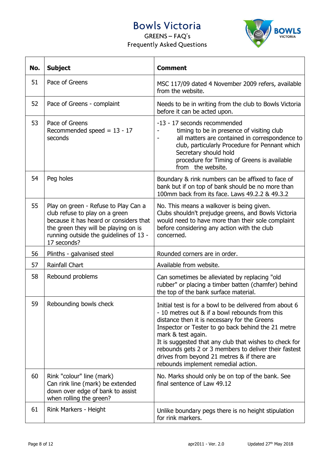



| No. | <b>Subject</b>                                                                                                                                                                                                    | <b>Comment</b>                                                                                                                                                                                                                                                                                                                                                                                                                                 |  |
|-----|-------------------------------------------------------------------------------------------------------------------------------------------------------------------------------------------------------------------|------------------------------------------------------------------------------------------------------------------------------------------------------------------------------------------------------------------------------------------------------------------------------------------------------------------------------------------------------------------------------------------------------------------------------------------------|--|
| 51  | Pace of Greens                                                                                                                                                                                                    | MSC 117/09 dated 4 November 2009 refers, available<br>from the website.                                                                                                                                                                                                                                                                                                                                                                        |  |
| 52  | Pace of Greens - complaint                                                                                                                                                                                        | Needs to be in writing from the club to Bowls Victoria<br>before it can be acted upon.                                                                                                                                                                                                                                                                                                                                                         |  |
| 53  | Pace of Greens<br>Recommended speed = $13 - 17$<br>seconds                                                                                                                                                        | -13 - 17 seconds recommended<br>timing to be in presence of visiting club<br>all matters are contained in correspondence to<br>$\overline{\phantom{a}}$<br>club, particularly Procedure for Pennant which<br>Secretary should hold<br>procedure for Timing of Greens is available<br>from the website.                                                                                                                                         |  |
| 54  | Peg holes                                                                                                                                                                                                         | Boundary & rink numbers can be affixed to face of<br>bank but if on top of bank should be no more than<br>100mm back from its face. Laws 49.2.2 & 49.3.2                                                                                                                                                                                                                                                                                       |  |
| 55  | Play on green - Refuse to Play Can a<br>club refuse to play on a green<br>because it has heard or considers that<br>the green they will be playing on is<br>running outside the guidelines of 13 -<br>17 seconds? | No. This means a walkover is being given.<br>Clubs shouldn't prejudge greens, and Bowls Victoria<br>would need to have more than their sole complaint<br>before considering any action with the club<br>concerned.                                                                                                                                                                                                                             |  |
| 56  | Plinths - galvanised steel                                                                                                                                                                                        | Rounded corners are in order.                                                                                                                                                                                                                                                                                                                                                                                                                  |  |
| 57  | Rainfall Chart                                                                                                                                                                                                    | Available from website.                                                                                                                                                                                                                                                                                                                                                                                                                        |  |
| 58  | Rebound problems                                                                                                                                                                                                  | Can sometimes be alleviated by replacing "old<br>rubber" or placing a timber batten (chamfer) behind<br>the top of the bank surface material.                                                                                                                                                                                                                                                                                                  |  |
| 59  | Rebounding bowls check                                                                                                                                                                                            | Initial test is for a bowl to be delivered from about 6<br>- 10 metres out & if a bowl rebounds from this<br>distance then it is necessary for the Greens<br>Inspector or Tester to go back behind the 21 metre<br>mark & test again.<br>It is suggested that any club that wishes to check for<br>rebounds gets 2 or 3 members to deliver their fastest<br>drives from beyond 21 metres & if there are<br>rebounds implement remedial action. |  |
| 60  | Rink "colour" line (mark)<br>Can rink line (mark) be extended<br>down over edge of bank to assist<br>when rolling the green?                                                                                      | No. Marks should only be on top of the bank. See<br>final sentence of Law 49.12                                                                                                                                                                                                                                                                                                                                                                |  |
| 61  | Rink Markers - Height                                                                                                                                                                                             | Unlike boundary pegs there is no height stipulation<br>for rink markers.                                                                                                                                                                                                                                                                                                                                                                       |  |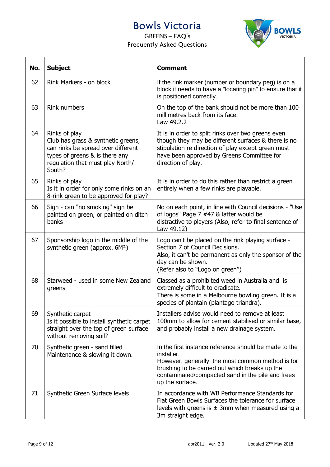

| No. | <b>Subject</b>                                                                                                                                                            | <b>Comment</b>                                                                                                                                                                                                                                     |  |
|-----|---------------------------------------------------------------------------------------------------------------------------------------------------------------------------|----------------------------------------------------------------------------------------------------------------------------------------------------------------------------------------------------------------------------------------------------|--|
| 62  | Rink Markers - on block                                                                                                                                                   | If the rink marker (number or boundary peg) is on a<br>block it needs to have a "locating pin" to ensure that it<br>is positioned correctly.                                                                                                       |  |
| 63  | <b>Rink numbers</b>                                                                                                                                                       | On the top of the bank should not be more than 100<br>millimetres back from its face.<br>Law 49.2.2                                                                                                                                                |  |
| 64  | Rinks of play<br>Club has grass & synthetic greens,<br>can rinks be spread over different<br>types of greens & is there any<br>regulation that must play North/<br>South? | It is in order to split rinks over two greens even<br>though they may be different surfaces & there is no<br>stipulation re direction of play except green must<br>have been approved by Greens Committee for<br>direction of play.                |  |
| 65  | Rinks of play<br>Is it in order for only some rinks on an<br>8-rink green to be approved for play?                                                                        | It is in order to do this rather than restrict a green<br>entirely when a few rinks are playable.                                                                                                                                                  |  |
| 66  | Sign - can "no smoking" sign be<br>painted on green, or painted on ditch<br>banks                                                                                         | No on each point, in line with Council decisions - "Use<br>of logos" Page 7 #47 & latter would be<br>distractive to players (Also, refer to final sentence of<br>Law 49.12)                                                                        |  |
| 67  | Sponsorship logo in the middle of the<br>synthetic green (approx. 6M <sup>2</sup> )                                                                                       | Logo can't be placed on the rink playing surface -<br>Section 7 of Council Decisions.<br>Also, it can't be permanent as only the sponsor of the<br>day can be shown.<br>(Refer also to "Logo on green")                                            |  |
| 68  | Starweed - used in some New Zealand<br>greens                                                                                                                             | Classed as a prohibited weed in Australia and is<br>extremely difficult to eradicate.<br>There is some in a Melbourne bowling green. It is a<br>species of plantain (plantago triandra).                                                           |  |
| 69  | Synthetic carpet<br>Is it possible to install synthetic carpet<br>straight over the top of green surface<br>without removing soil?                                        | Installers advise would need to remove at least<br>100mm to allow for cement stabilised or similar base,<br>and probably install a new drainage system.                                                                                            |  |
| 70  | Synthetic green - sand filled<br>Maintenance & slowing it down.                                                                                                           | In the first instance reference should be made to the<br>installer.<br>However, generally, the most common method is for<br>brushing to be carried out which breaks up the<br>contaminated/compacted sand in the pile and frees<br>up the surface. |  |
| 71  | Synthetic Green Surface levels                                                                                                                                            | In accordance with WB Performance Standards for<br>Flat Green Bowls Surfaces the tolerance for surface<br>levels with greens is $\pm$ 3mm when measured using a<br>3m straight edge.                                                               |  |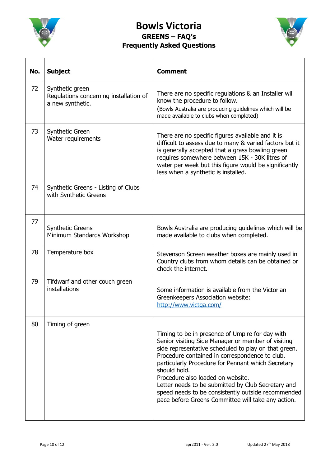

### **Bowls Victoria GREENS – FAQ's Frequently Asked Questions**



| No. | <b>Subject</b>                                                                | <b>Comment</b>                                                                                                                                                                                                                                                                                                                                                                                                                                                                               |
|-----|-------------------------------------------------------------------------------|----------------------------------------------------------------------------------------------------------------------------------------------------------------------------------------------------------------------------------------------------------------------------------------------------------------------------------------------------------------------------------------------------------------------------------------------------------------------------------------------|
| 72  | Synthetic green<br>Regulations concerning installation of<br>a new synthetic. | There are no specific regulations & an Installer will<br>know the procedure to follow.<br>(Bowls Australia are producing guidelines which will be<br>made available to clubs when completed)                                                                                                                                                                                                                                                                                                 |
| 73  | Synthetic Green<br>Water requirements                                         | There are no specific figures available and it is<br>difficult to assess due to many & varied factors but it<br>is generally accepted that a grass bowling green<br>requires somewhere between 15K - 30K litres of<br>water per week but this figure would be significantly<br>less when a synthetic is installed.                                                                                                                                                                           |
| 74  | Synthetic Greens - Listing of Clubs<br>with Synthetic Greens                  |                                                                                                                                                                                                                                                                                                                                                                                                                                                                                              |
| 77  | <b>Synthetic Greens</b><br>Minimum Standards Workshop                         | Bowls Australia are producing guidelines which will be<br>made available to clubs when completed.                                                                                                                                                                                                                                                                                                                                                                                            |
| 78  | Temperature box                                                               | Stevenson Screen weather boxes are mainly used in<br>Country clubs from whom details can be obtained or<br>check the internet.                                                                                                                                                                                                                                                                                                                                                               |
| 79  | Tifdwarf and other couch green<br>installations                               | Some information is available from the Victorian<br>Greenkeepers Association website:<br>http://www.victga.com/                                                                                                                                                                                                                                                                                                                                                                              |
| 80  | Timing of green                                                               | Timing to be in presence of Umpire for day with<br>Senior visiting Side Manager or member of visiting<br>side representative scheduled to play on that green.<br>Procedure contained in correspondence to club,<br>particularly Procedure for Pennant which Secretary<br>should hold.<br>Procedure also loaded on website.<br>Letter needs to be submitted by Club Secretary and<br>speed needs to be consistently outside recommended<br>pace before Greens Committee will take any action. |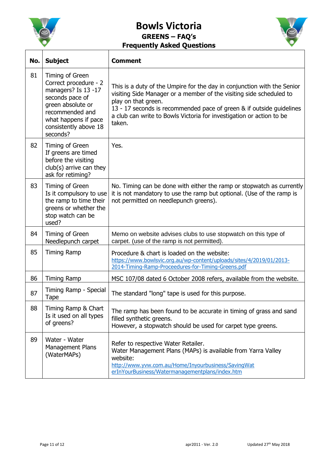

 $\overline{1}$ 

#### **Bowls Victoria GREENS – FAQ's Frequently Asked Questions**

Τ



| No. | <b>Subject</b>                                                                                                                                                                          | <b>Comment</b>                                                                                                                                                                                                                                                                                                                  |
|-----|-----------------------------------------------------------------------------------------------------------------------------------------------------------------------------------------|---------------------------------------------------------------------------------------------------------------------------------------------------------------------------------------------------------------------------------------------------------------------------------------------------------------------------------|
| 81  | Timing of Green<br>Correct procedure - 2<br>managers? Is 13 -17<br>seconds pace of<br>green absolute or<br>recommended and<br>what happens if pace<br>consistently above 18<br>seconds? | This is a duty of the Umpire for the day in conjunction with the Senior<br>visiting Side Manager or a member of the visiting side scheduled to<br>play on that green.<br>13 - 17 seconds is recommended pace of green & if outside guidelines<br>a club can write to Bowls Victoria for investigation or action to be<br>taken. |
| 82  | Timing of Green<br>If greens are timed<br>before the visiting<br>club(s) arrive can they<br>ask for retiming?                                                                           | Yes.                                                                                                                                                                                                                                                                                                                            |
| 83  | Timing of Green<br>Is it compulsory to use<br>the ramp to time their<br>greens or whether the<br>stop watch can be<br>used?                                                             | No. Timing can be done with either the ramp or stopwatch as currently<br>it is not mandatory to use the ramp but optional. (Use of the ramp is<br>not permitted on needlepunch greens).                                                                                                                                         |
| 84  | Timing of Green<br>Needlepunch carpet                                                                                                                                                   | Memo on website advises clubs to use stopwatch on this type of<br>carpet. (use of the ramp is not permitted).                                                                                                                                                                                                                   |
| 85  | <b>Timing Ramp</b>                                                                                                                                                                      | Procedure & chart is loaded on the website:<br>https://www.bowlsvic.org.au/wp-content/uploads/sites/4/2019/01/2013-<br>2014-Timing-Ramp-Proceedures-for-Timing-Greens.pdf                                                                                                                                                       |
| 86  | <b>Timing Ramp</b>                                                                                                                                                                      | MSC 107/08 dated 6 October 2008 refers, available from the website.                                                                                                                                                                                                                                                             |
| 87  | Timing Ramp - Special<br><b>Tape</b>                                                                                                                                                    | The standard "long" tape is used for this purpose.                                                                                                                                                                                                                                                                              |
| 88  | Timing Ramp & Chart<br>Is it used on all types<br>of greens?                                                                                                                            | The ramp has been found to be accurate in timing of grass and sand<br>filled synthetic greens.<br>However, a stopwatch should be used for carpet type greens.                                                                                                                                                                   |
| 89  | Water - Water<br><b>Management Plans</b><br>(WaterMAPs)                                                                                                                                 | Refer to respective Water Retailer.<br>Water Management Plans (MAPs) is available from Yarra Valley<br>website:<br>http://www.yvw.com.au/Home/Inyourbusiness/SavingWat<br>erInYourBusiness/Watermanagementplans/index.htm                                                                                                       |